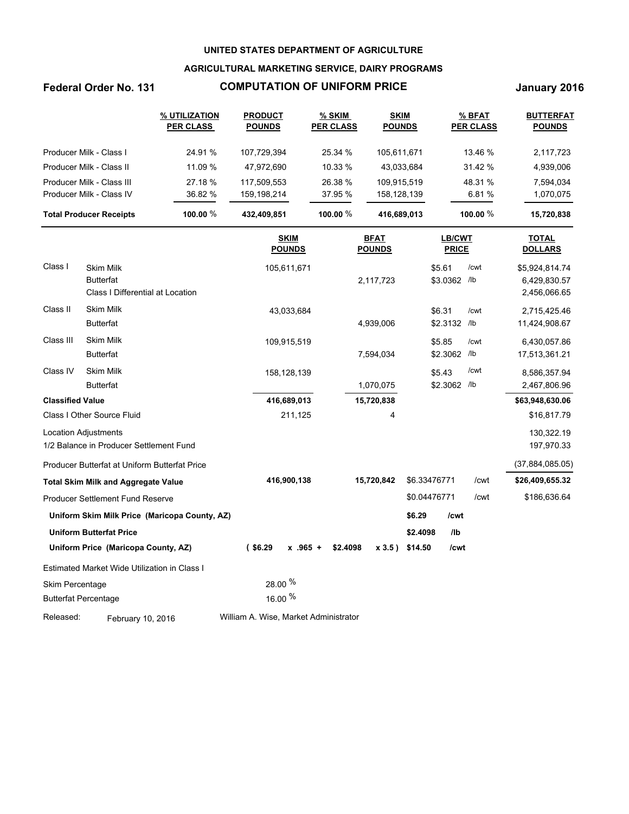### **AGRICULTURAL MARKETING SERVICE, DAIRY PROGRAMS**

# **Federal Order No. 131 COMPUTATION OF UNIFORM PRICE January 2016**

|                         |                                                                 | % UTILIZATION<br><b>PER CLASS</b>             | <b>PRODUCT</b><br><b>POUNDS</b>       | <u>% SKIM</u><br><b>PER CLASS</b> | <b>SKIM</b><br><b>POUNDS</b> |              |                        | $%$ BFAT<br><b>PER CLASS</b> | <b>BUTTERFAT</b><br><b>POUNDS</b> |
|-------------------------|-----------------------------------------------------------------|-----------------------------------------------|---------------------------------------|-----------------------------------|------------------------------|--------------|------------------------|------------------------------|-----------------------------------|
|                         | Producer Milk - Class I                                         | 24.91 %                                       | 107,729,394                           | 25.34 %                           | 105,611,671                  |              |                        | 13.46 %                      | 2,117,723                         |
|                         | Producer Milk - Class II                                        | 11.09 %                                       | 47,972,690                            | 10.33 %                           |                              | 43,033,684   | 31.42 %                |                              | 4,939,006                         |
|                         | Producer Milk - Class III                                       | 27.18 %                                       | 117,509,553                           | 26.38 %                           | 109,915,519                  |              |                        | 48.31 %                      | 7,594,034                         |
|                         | Producer Milk - Class IV                                        | 36.82 %                                       | 159,198,214                           | 37.95 %                           | 158,128,139                  |              |                        | 6.81%                        | 1,070,075                         |
|                         | <b>Total Producer Receipts</b>                                  | 100.00 %                                      | 432,409,851                           | 100.00 %                          | 416,689,013                  |              |                        | 100.00 %                     | 15,720,838                        |
|                         |                                                                 |                                               | <b>SKIM</b><br><b>POUNDS</b>          |                                   | <b>BFAT</b><br><b>POUNDS</b> |              | LB/CWT<br><b>PRICE</b> |                              | <b>TOTAL</b><br><b>DOLLARS</b>    |
| Class I                 | <b>Skim Milk</b>                                                |                                               | 105,611,671                           |                                   |                              |              | \$5.61                 | /cwt                         | \$5,924,814.74                    |
|                         | <b>Butterfat</b><br>Class I Differential at Location            |                                               |                                       |                                   | 2,117,723                    |              | \$3.0362 /lb           |                              | 6,429,830.57<br>2,456,066.65      |
| Class II                | <b>Skim Milk</b>                                                |                                               | 43,033,684                            |                                   |                              |              | \$6.31                 | /cwt                         | 2,715,425.46                      |
|                         | <b>Butterfat</b>                                                |                                               |                                       |                                   | 4,939,006                    |              | \$2.3132 /lb           |                              | 11,424,908.67                     |
| Class III               | <b>Skim Milk</b>                                                |                                               | 109,915,519                           |                                   |                              |              | \$5.85                 | /cwt                         | 6,430,057.86                      |
|                         | <b>Butterfat</b>                                                |                                               |                                       |                                   | 7,594,034                    |              | \$2.3062 /lb           |                              | 17,513,361.21                     |
| Class IV                | <b>Skim Milk</b>                                                |                                               | 158,128,139                           |                                   |                              |              | \$5.43                 | /cwt                         | 8,586,357.94                      |
|                         | <b>Butterfat</b>                                                |                                               |                                       |                                   | 1,070,075                    |              | \$2.3062 /lb           |                              | 2,467,806.96                      |
| <b>Classified Value</b> |                                                                 |                                               | 416,689,013                           |                                   | 15,720,838                   |              |                        |                              | \$63,948,630.06                   |
|                         | Class I Other Source Fluid                                      |                                               | 211,125                               |                                   | 4                            |              |                        |                              | \$16,817.79                       |
|                         | Location Adjustments<br>1/2 Balance in Producer Settlement Fund |                                               |                                       |                                   |                              |              |                        |                              | 130,322.19<br>197,970.33          |
|                         | Producer Butterfat at Uniform Butterfat Price                   |                                               |                                       |                                   |                              |              |                        |                              | (37,884,085.05)                   |
|                         | <b>Total Skim Milk and Aggregate Value</b>                      |                                               | 416,900,138                           |                                   | 15,720,842                   | \$6.33476771 |                        | /cwt                         | \$26,409,655.32                   |
|                         | <b>Producer Settlement Fund Reserve</b>                         |                                               |                                       |                                   |                              | \$0.04476771 |                        | /cwt                         | \$186,636.64                      |
|                         |                                                                 | Uniform Skim Milk Price (Maricopa County, AZ) |                                       |                                   |                              | \$6.29       | /cwt                   |                              |                                   |
|                         | <b>Uniform Butterfat Price</b>                                  |                                               |                                       |                                   |                              | \$2.4098     | I <sub>1</sub>         |                              |                                   |
|                         | Uniform Price (Maricopa County, AZ)                             |                                               | $($ \$6.29<br>$x$ .965 +              | \$2.4098                          | x3.5)                        | \$14.50      | /cwt                   |                              |                                   |
|                         | Estimated Market Wide Utilization in Class I                    |                                               |                                       |                                   |                              |              |                        |                              |                                   |
| Skim Percentage         |                                                                 |                                               | 28.00 %                               |                                   |                              |              |                        |                              |                                   |
|                         | <b>Butterfat Percentage</b>                                     |                                               | 16.00 %                               |                                   |                              |              |                        |                              |                                   |
| Released:               | February 10, 2016                                               |                                               | William A. Wise, Market Administrator |                                   |                              |              |                        |                              |                                   |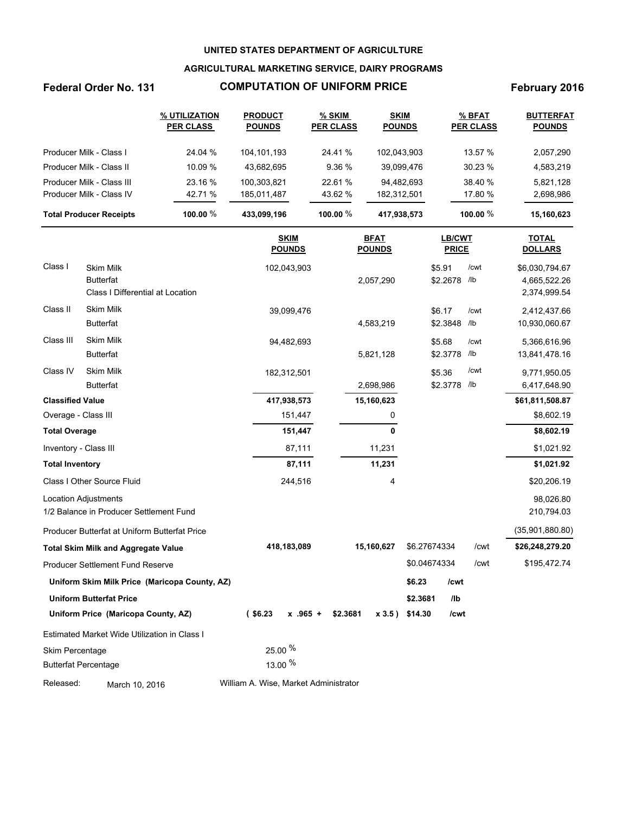### **AGRICULTURAL MARKETING SERVICE, DAIRY PROGRAMS**

# Federal Order No. 131 **COMPUTATION OF UNIFORM PRICE** February 2016

|                                | % UTILIZATION<br><b>PRODUCT</b><br><b>PER CLASS</b><br><b>POUNDS</b> |             | % SKIM<br><b>PER CLASS</b> | <b>SKIM</b><br><b>POUNDS</b> | % BFAT<br><b>PER CLASS</b> | <b>BUTTERFAT</b><br><b>POUNDS</b> |
|--------------------------------|----------------------------------------------------------------------|-------------|----------------------------|------------------------------|----------------------------|-----------------------------------|
| Producer Milk - Class I        | 24.04 %                                                              | 104.101.193 | 24.41 %                    | 102,043,903                  | 13.57 %                    | 2,057,290                         |
| Producer Milk - Class II       | 10.09 %                                                              | 43.682.695  | 9.36%                      | 39,099,476                   | 30.23%                     | 4,583,219                         |
| Producer Milk - Class III      | 23.16 %                                                              | 100.303.821 | 22.61 %                    | 94.482.693                   | 38.40 %                    | 5,821,128                         |
| Producer Milk - Class IV       | 42.71 %                                                              | 185,011,487 | 43.62 %                    | 182,312,501                  | 17.80 %                    | 2,698,986                         |
| <b>Total Producer Receipts</b> | 100.00 $%$                                                           | 433,099,196 | 100.00 $%$                 | 417,938,573                  | 100.00 %                   | 15,160,623                        |

|                             |                                                                          | <b>SKIM</b><br><b>POUNDS</b>          | <b>BFAT</b><br><b>POUNDS</b> | LB/CWT<br><b>PRICE</b> | <b>TOTAL</b><br><b>DOLLARS</b> |                                                |
|-----------------------------|--------------------------------------------------------------------------|---------------------------------------|------------------------------|------------------------|--------------------------------|------------------------------------------------|
| Class I                     | <b>Skim Milk</b><br><b>Butterfat</b><br>Class I Differential at Location | 102,043,903                           | 2,057,290                    | \$5.91<br>\$2.2678 /lb | /cwt                           | \$6,030,794.67<br>4,665,522.26<br>2,374,999.54 |
| Class II                    | <b>Skim Milk</b><br><b>Butterfat</b>                                     | 39,099,476                            | 4,583,219                    | \$6.17<br>\$2.3848     | /cwt<br>/lb                    | 2,412,437.66<br>10,930,060.67                  |
| Class III                   | <b>Skim Milk</b><br><b>Butterfat</b>                                     | 94,482,693                            | 5,821,128                    | \$5.68<br>\$2.3778     | /cwt<br>/lb                    | 5,366,616.96<br>13,841,478.16                  |
| Class IV                    | <b>Skim Milk</b><br><b>Butterfat</b>                                     | 182,312,501                           | 2,698,986                    | \$5.36<br>\$2.3778     | /cwt<br>/lb                    | 9,771,950.05<br>6,417,648.90                   |
| <b>Classified Value</b>     |                                                                          | 417,938,573                           | 15,160,623                   |                        |                                | \$61,811,508.87                                |
| Overage - Class III         |                                                                          | 151,447                               | 0                            |                        |                                | \$8,602.19                                     |
| <b>Total Overage</b>        |                                                                          | 151,447                               | 0                            |                        |                                | \$8,602.19                                     |
| Inventory - Class III       |                                                                          | 87,111                                | 11,231                       |                        |                                | \$1,021.92                                     |
| <b>Total Inventory</b>      |                                                                          | 87,111                                | 11,231                       |                        |                                | \$1,021.92                                     |
|                             | Class I Other Source Fluid                                               | 244,516                               | 4                            |                        |                                | \$20,206.19                                    |
|                             | <b>Location Adjustments</b><br>1/2 Balance in Producer Settlement Fund   |                                       |                              |                        |                                | 98,026.80<br>210,794.03                        |
|                             | Producer Butterfat at Uniform Butterfat Price                            |                                       |                              |                        |                                | (35,901,880.80)                                |
|                             | <b>Total Skim Milk and Aggregate Value</b>                               | 418,183,089                           | 15,160,627                   | \$6.27674334           | /cwt                           | \$26,248,279.20                                |
|                             | <b>Producer Settlement Fund Reserve</b>                                  |                                       |                              | \$0.04674334           | /cwt                           | \$195,472.74                                   |
|                             | Uniform Skim Milk Price (Maricopa County, AZ)                            |                                       |                              | \$6.23<br>/cwt         |                                |                                                |
|                             | <b>Uniform Butterfat Price</b>                                           |                                       |                              | \$2.3681<br>/lb        |                                |                                                |
|                             | Uniform Price (Maricopa County, AZ)                                      | $($ \$6.23<br>$x$ .965 +              | \$2.3681<br>x3.5)            | \$14.30<br>/cwt        |                                |                                                |
|                             | Estimated Market Wide Utilization in Class I                             |                                       |                              |                        |                                |                                                |
| Skim Percentage             |                                                                          | 25.00 %                               |                              |                        |                                |                                                |
| <b>Butterfat Percentage</b> |                                                                          | 13.00 %                               |                              |                        |                                |                                                |
| Released:                   | March 10, 2016                                                           | William A. Wise, Market Administrator |                              |                        |                                |                                                |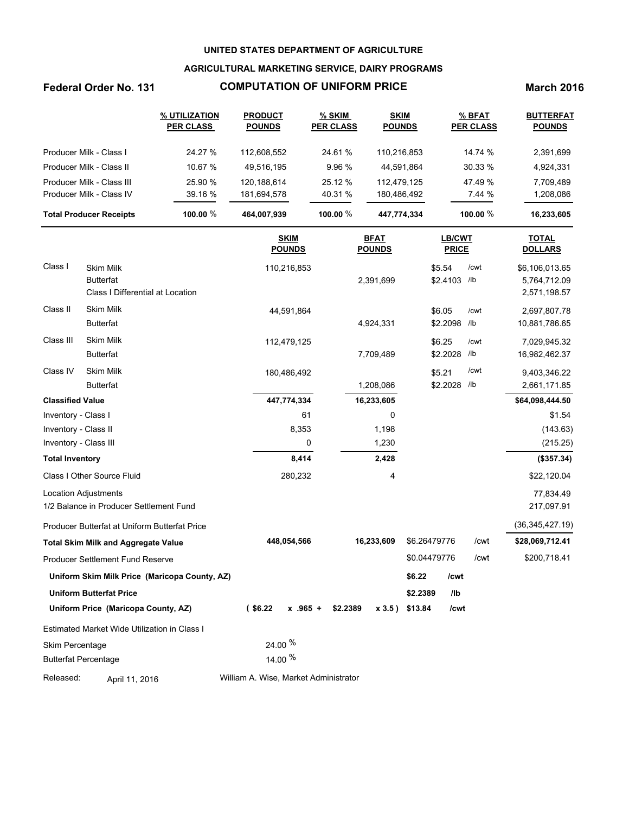### **AGRICULTURAL MARKETING SERVICE, DAIRY PROGRAMS**

### **Federal Order No. 131 COMPUTATION OF UNIFORM PRICE March 2016**

|                                | % UTILIZATION<br><b>PRODUCT</b><br><b>PER CLASS</b><br><b>POUNDS</b> |             | % SKIM<br><b>PER CLASS</b> | <b>SKIM</b><br><b>POUNDS</b> | % BFAT<br><b>PER CLASS</b> | <b>BUTTERFAT</b><br><b>POUNDS</b> |
|--------------------------------|----------------------------------------------------------------------|-------------|----------------------------|------------------------------|----------------------------|-----------------------------------|
| Producer Milk - Class I        | 24.27 %                                                              | 112.608.552 | 24.61 %                    | 110.216.853                  | 14.74 %                    | 2,391,699                         |
| Producer Milk - Class II       | 10.67 %                                                              | 49.516.195  | 9.96%                      | 44.591.864                   | 30.33%                     | 4,924,331                         |
| Producer Milk - Class III      | 25.90 %                                                              | 120.188.614 | 25.12 %                    | 112.479.125                  | 47.49 %                    | 7,709,489                         |
| Producer Milk - Class IV       | 39.16 %                                                              | 181,694,578 | 40.31 %                    | 180,486,492                  | 7.44%                      | 1,208,086                         |
| <b>Total Producer Receipts</b> | 100.00 $%$                                                           | 464,007,939 | 100.00 $%$                 | 447,774,334                  | 100.00 $%$                 | 16,233,605                        |

|                             |                                               | <b>SKIM</b><br><b>POUNDS</b>          | <b>BFAT</b><br><b>POUNDS</b> | LB/CWT<br><b>PRICE</b>     | <b>TOTAL</b><br><b>DOLLARS</b> |
|-----------------------------|-----------------------------------------------|---------------------------------------|------------------------------|----------------------------|--------------------------------|
| Class I                     | <b>Skim Milk</b>                              | 110,216,853                           |                              | \$5.54<br>/cwt             | \$6,106,013.65                 |
|                             | <b>Butterfat</b>                              |                                       | 2,391,699                    | \$2.4103 /lb               | 5,764,712.09                   |
|                             | Class I Differential at Location              |                                       |                              |                            | 2,571,198.57                   |
| Class II                    | <b>Skim Milk</b>                              | 44,591,864                            |                              | \$6.05<br>/cwt             | 2,697,807.78                   |
|                             | <b>Butterfat</b>                              |                                       | 4,924,331                    | \$2.2098<br>/lb            | 10,881,786.65                  |
| Class III                   | <b>Skim Milk</b>                              | 112,479,125                           |                              | \$6.25<br>/cwt             | 7,029,945.32                   |
|                             | <b>Butterfat</b>                              |                                       | 7,709,489                    | \$2.2028<br>/lb            | 16,982,462.37                  |
| Class IV                    | <b>Skim Milk</b>                              | 180,486,492                           |                              | /cwt<br>\$5.21             | 9,403,346.22                   |
|                             | <b>Butterfat</b>                              |                                       | 1,208,086                    | \$2.2028<br>/lb            | 2,661,171.85                   |
| <b>Classified Value</b>     |                                               | 447,774,334                           | 16,233,605                   |                            | \$64,098,444.50                |
| Inventory - Class I         |                                               | 61                                    | 0                            |                            | \$1.54                         |
| Inventory - Class II        |                                               | 8,353                                 | 1,198                        |                            | (143.63)                       |
| Inventory - Class III       |                                               | 0                                     | 1,230                        |                            | (215.25)                       |
| <b>Total Inventory</b>      |                                               | 8,414                                 | 2,428                        |                            | (\$357.34)                     |
|                             | Class I Other Source Fluid                    | 280,232                               | 4                            |                            | \$22,120.04                    |
|                             | Location Adjustments                          |                                       |                              |                            | 77,834.49                      |
|                             | 1/2 Balance in Producer Settlement Fund       |                                       |                              |                            | 217,097.91                     |
|                             | Producer Butterfat at Uniform Butterfat Price |                                       |                              |                            | (36, 345, 427.19)              |
|                             | <b>Total Skim Milk and Aggregate Value</b>    | 448,054,566                           | 16,233,609                   | \$6.26479776               | /cwt<br>\$28,069,712.41        |
|                             | Producer Settlement Fund Reserve              |                                       |                              | \$0.04479776               | /cwt<br>\$200,718.41           |
|                             | Uniform Skim Milk Price (Maricopa County, AZ) |                                       |                              | \$6.22<br>/cwt             |                                |
|                             | <b>Uniform Butterfat Price</b>                |                                       |                              | \$2.2389<br>I <sub>1</sub> |                                |
|                             | Uniform Price (Maricopa County, AZ)           | $($ \$6.22<br>$x$ .965 +              | \$2.2389<br>$x 3.5$ )        | \$13.84<br>/cwt            |                                |
|                             | Estimated Market Wide Utilization in Class I  |                                       |                              |                            |                                |
| Skim Percentage             |                                               | 24.00 %                               |                              |                            |                                |
| <b>Butterfat Percentage</b> |                                               | 14.00 %                               |                              |                            |                                |
| Released:                   | April 11, 2016                                | William A. Wise, Market Administrator |                              |                            |                                |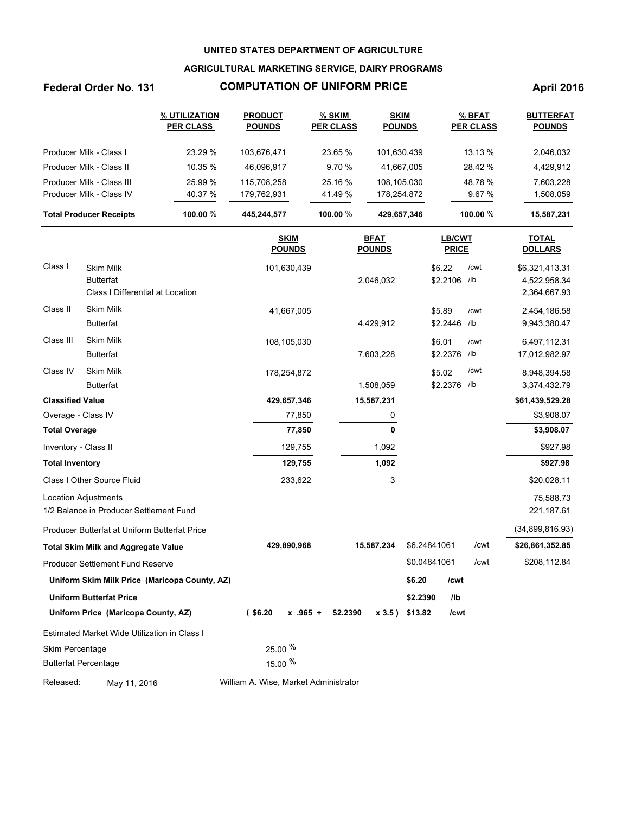### **AGRICULTURAL MARKETING SERVICE, DAIRY PROGRAMS**

## **Federal Order No. 131 COMPUTATION OF UNIFORM PRICE April 2016**

|                                | % UTILIZATION<br><b>PER CLASS</b> | <b>PRODUCT</b><br><b>POUNDS</b> | % SKIM<br><b>PER CLASS</b> | <b>SKIM</b><br><b>POUNDS</b> | % BFAT<br><b>PER CLASS</b> | <b>BUTTERFAT</b><br><b>POUNDS</b> |
|--------------------------------|-----------------------------------|---------------------------------|----------------------------|------------------------------|----------------------------|-----------------------------------|
| Producer Milk - Class I        | 23.29 %                           | 103.676.471                     | 23.65 %                    | 101,630,439                  | $13.13\%$                  | 2,046,032                         |
| Producer Milk - Class II       | 10.35 %                           | 46.096.917                      | 9.70%                      | 41,667,005                   | 28.42 %                    | 4,429,912                         |
| Producer Milk - Class III      | 25.99 %                           | 115.708.258                     | 25.16 %                    | 108.105.030                  | 48.78 %                    | 7.603.228                         |
| Producer Milk - Class IV       | 40.37 %                           | 179.762.931                     | 41.49 %                    | 178,254,872                  | 9.67%                      | 1,508,059                         |
| <b>Total Producer Receipts</b> | 100.00 $%$                        | 445.244.577                     | 100.00 $%$                 | 429,657,346                  | 100.00 $%$                 | 15,587,231                        |

|                             |                                               | <b>SKIM</b><br><b>POUNDS</b>          | <b>BFAT</b><br><b>POUNDS</b> | LB/CWT<br><b>PRICE</b>     |      | <b>TOTAL</b><br><b>DOLLARS</b> |
|-----------------------------|-----------------------------------------------|---------------------------------------|------------------------------|----------------------------|------|--------------------------------|
| Class I                     | <b>Skim Milk</b>                              | 101,630,439                           |                              | \$6.22                     | /cwt | \$6,321,413.31                 |
|                             | <b>Butterfat</b>                              |                                       | 2,046,032                    | \$2.2106 /lb               |      | 4,522,958.34                   |
|                             | Class I Differential at Location              |                                       |                              |                            |      | 2,364,667.93                   |
| Class II                    | <b>Skim Milk</b>                              | 41,667,005                            |                              | \$5.89                     | /cwt | 2,454,186.58                   |
|                             | <b>Butterfat</b>                              |                                       | 4,429,912                    | \$2.2446                   | /lb  | 9,943,380.47                   |
| Class III                   | <b>Skim Milk</b>                              | 108,105,030                           |                              | \$6.01                     | /cwt | 6,497,112.31                   |
|                             | <b>Butterfat</b>                              |                                       | 7,603,228                    | \$2.2376                   | /lb  | 17,012,982.97                  |
| Class IV                    | <b>Skim Milk</b>                              | 178,254,872                           |                              | \$5.02                     | /cwt | 8,948,394.58                   |
|                             | <b>Butterfat</b>                              |                                       | 1,508,059                    | \$2.2376                   | /lb  | 3,374,432.79                   |
| <b>Classified Value</b>     |                                               | 429,657,346                           | 15,587,231                   |                            |      | \$61,439,529.28                |
| Overage - Class IV          |                                               | 77,850                                | 0                            |                            |      | \$3,908.07                     |
| <b>Total Overage</b>        |                                               | 77,850                                | 0                            |                            |      | \$3,908.07                     |
| Inventory - Class II        |                                               | 129,755                               | 1,092                        |                            |      | \$927.98                       |
| <b>Total Inventory</b>      |                                               | 129,755                               | 1,092                        |                            |      | \$927.98                       |
|                             | Class I Other Source Fluid                    | 233,622                               | 3                            |                            |      | \$20,028.11                    |
|                             | <b>Location Adjustments</b>                   |                                       |                              |                            |      | 75,588.73                      |
|                             | 1/2 Balance in Producer Settlement Fund       |                                       |                              |                            |      | 221,187.61                     |
|                             | Producer Butterfat at Uniform Butterfat Price |                                       |                              |                            |      | (34,899,816.93)                |
|                             | <b>Total Skim Milk and Aggregate Value</b>    | 429,890,968                           | 15,587,234                   | \$6.24841061               | /cwt | \$26,861,352.85                |
|                             | Producer Settlement Fund Reserve              |                                       |                              | \$0.04841061               | /cwt | \$208,112.84                   |
|                             | Uniform Skim Milk Price (Maricopa County, AZ) |                                       |                              | \$6.20<br>/cwt             |      |                                |
|                             | <b>Uniform Butterfat Price</b>                |                                       |                              | \$2.2390<br>I <sub>1</sub> |      |                                |
|                             | Uniform Price (Maricopa County, AZ)           | $($ \$6.20<br>$x$ .965 +              | \$2.2390<br>x 3.5)           | \$13.82<br>/cwt            |      |                                |
|                             | Estimated Market Wide Utilization in Class I  |                                       |                              |                            |      |                                |
| Skim Percentage             |                                               | 25.00 %                               |                              |                            |      |                                |
| <b>Butterfat Percentage</b> |                                               | 15.00 %                               |                              |                            |      |                                |
| Released:                   | May 11, 2016                                  | William A. Wise, Market Administrator |                              |                            |      |                                |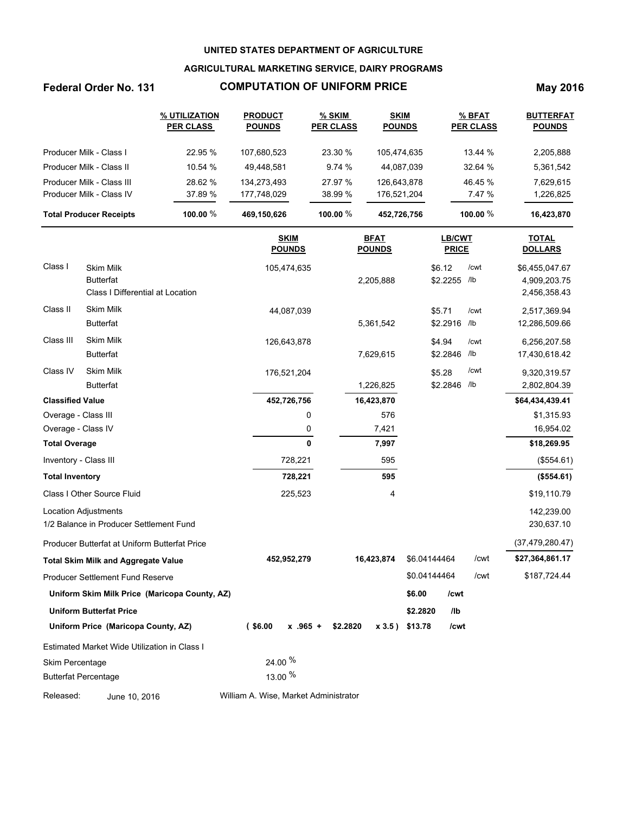### **AGRICULTURAL MARKETING SERVICE, DAIRY PROGRAMS**

# **Federal Order No. 131 COMPUTATION OF UNIFORM PRICE May 2016**

|                                | % UTILIZATION<br><b>PER CLASS</b> | <b>PRODUCT</b><br><b>POUNDS</b> | % SKIM<br><b>PER CLASS</b> | <b>SKIM</b><br><b>POUNDS</b> | % BFAT<br><b>PER CLASS</b> | <b>BUTTERFAT</b><br><b>POUNDS</b> |
|--------------------------------|-----------------------------------|---------------------------------|----------------------------|------------------------------|----------------------------|-----------------------------------|
| Producer Milk - Class I        | 22.95 %                           | 107.680.523                     | 23.30 %                    | 105.474.635                  | 13.44 %                    | 2,205,888                         |
| Producer Milk - Class II       | 10.54 %                           | 49.448.581                      | 9.74%                      | 44,087,039                   | 32.64 %                    | 5,361,542                         |
| Producer Milk - Class III      | 28.62 %                           | 134.273.493                     | 27.97 %                    | 126,643,878                  | 46.45 %                    | 7,629,615                         |
| Producer Milk - Class IV       | 37.89 %                           | 177.748.029                     | 38.99 %                    | 176.521.204                  | 7.47 %                     | 1,226,825                         |
| <b>Total Producer Receipts</b> | 100.00 $%$                        | 469.150.626                     | 100.00 $%$                 | 452,726,756                  | 100.00 $%$                 | 16,423,870                        |

|                             |                                                                          |                                            | <b>SKIM</b><br><b>POUNDS</b> |          | <b>BFAT</b><br><b>POUNDS</b> |              | <b>LB/CWT</b><br><b>PRICE</b> |             | <b>TOTAL</b><br><b>DOLLARS</b>                 |
|-----------------------------|--------------------------------------------------------------------------|--------------------------------------------|------------------------------|----------|------------------------------|--------------|-------------------------------|-------------|------------------------------------------------|
| Class I                     | <b>Skim Milk</b><br><b>Butterfat</b><br>Class I Differential at Location |                                            | 105,474,635                  |          | 2,205,888                    | \$6.12       | \$2.2255 /lb                  | /cwt        | \$6,455,047.67<br>4,909,203.75<br>2,456,358.43 |
| Class II                    | <b>Skim Milk</b><br><b>Butterfat</b>                                     |                                            | 44,087,039                   |          | 5,361,542                    | \$5.71       | \$2.2916                      | /cwt<br>/lb | 2,517,369.94<br>12,286,509.66                  |
| Class III                   | <b>Skim Milk</b><br><b>Butterfat</b>                                     |                                            | 126,643,878                  |          | 7,629,615                    | \$4.94       | \$2.2846                      | /cwt<br>/lb | 6,256,207.58<br>17,430,618.42                  |
| Class IV                    | <b>Skim Milk</b><br><b>Butterfat</b>                                     |                                            | 176,521,204                  |          | 1,226,825                    | \$5.28       | \$2.2846                      | /cwt<br>/lb | 9,320,319.57<br>2,802,804.39                   |
| <b>Classified Value</b>     |                                                                          |                                            | 452,726,756                  |          | 16,423,870                   |              |                               |             | \$64,434,439.41                                |
| Overage - Class III         |                                                                          |                                            | 0                            |          | 576                          |              |                               |             | \$1,315.93                                     |
| Overage - Class IV          |                                                                          |                                            | 0                            |          | 7,421                        |              |                               |             | 16,954.02                                      |
| <b>Total Overage</b>        |                                                                          |                                            | 0                            |          | 7,997                        |              |                               |             | \$18,269.95                                    |
| Inventory - Class III       |                                                                          |                                            | 728,221                      |          | 595                          |              |                               |             | (\$554.61)                                     |
| <b>Total Inventory</b>      |                                                                          |                                            | 728,221                      |          | 595                          |              |                               |             | (\$554.61)                                     |
|                             | Class I Other Source Fluid                                               |                                            | 225,523                      |          | 4                            |              |                               |             | \$19,110.79                                    |
|                             | <b>Location Adjustments</b><br>1/2 Balance in Producer Settlement Fund   |                                            |                              |          |                              |              |                               |             | 142,239.00<br>230,637.10                       |
|                             | Producer Butterfat at Uniform Butterfat Price                            |                                            |                              |          |                              |              |                               |             | (37, 479, 280.47)                              |
|                             | <b>Total Skim Milk and Aggregate Value</b>                               |                                            | 452,952,279                  |          | 16,423,874                   | \$6.04144464 |                               | /cwt        | \$27,364,861.17                                |
|                             | <b>Producer Settlement Fund Reserve</b>                                  |                                            |                              |          |                              | \$0.04144464 |                               | /cwt        | \$187,724.44                                   |
|                             | Uniform Skim Milk Price (Maricopa County, AZ)                            |                                            |                              |          |                              | \$6.00       | /cwt                          |             |                                                |
|                             | <b>Uniform Butterfat Price</b>                                           |                                            |                              |          |                              | \$2.2820     | /lb                           |             |                                                |
|                             | Uniform Price (Maricopa County, AZ)                                      | $($ \$6.00                                 | $x$ .965 +                   | \$2.2820 | x3.5)                        | \$13.78      | /cwt                          |             |                                                |
|                             | Estimated Market Wide Utilization in Class I                             |                                            |                              |          |                              |              |                               |             |                                                |
| Skim Percentage             |                                                                          | 24.00 %                                    |                              |          |                              |              |                               |             |                                                |
| <b>Butterfat Percentage</b> |                                                                          | 13.00 %                                    |                              |          |                              |              |                               |             |                                                |
| .                           | 1.8.0111                                                                 | $\mathbf{A}$ , $\mathbf{A}$ , $\mathbf{B}$ |                              |          |                              |              |                               |             |                                                |

Released: June 10, 2016 William A. Wise, Market Administrator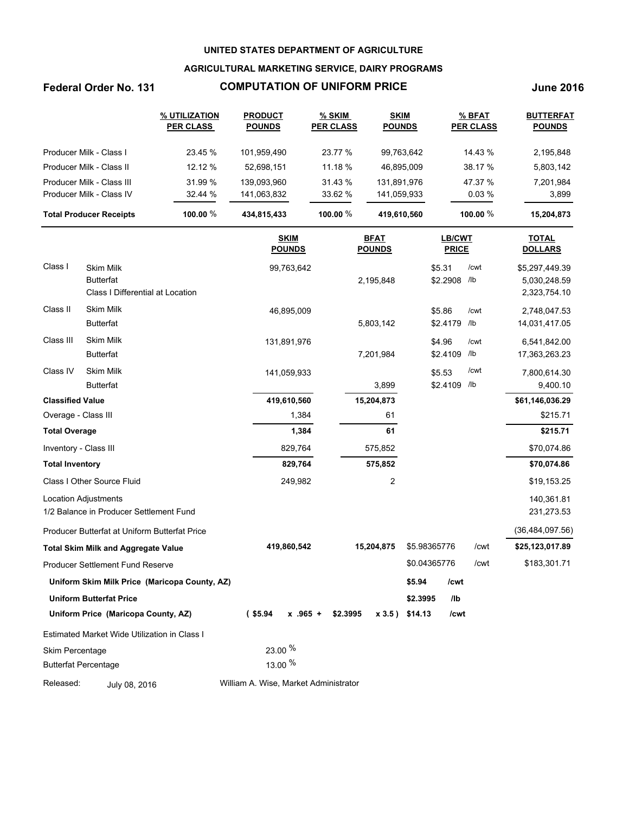### **AGRICULTURAL MARKETING SERVICE, DAIRY PROGRAMS**

### **Federal Order No. 131 COMPUTATION OF UNIFORM PRICE June 2016**

|                                | % UTILIZATION<br><b>PER CLASS</b> | <b>PRODUCT</b><br><b>POUNDS</b> | % SKIM<br><b>PER CLASS</b> | <b>SKIM</b><br><b>POUNDS</b> | % BFAT<br><b>PER CLASS</b> | <b>BUTTERFAT</b><br><b>POUNDS</b> |
|--------------------------------|-----------------------------------|---------------------------------|----------------------------|------------------------------|----------------------------|-----------------------------------|
| Producer Milk - Class I        | 23.45 %                           | 101.959.490                     | 23.77 %                    | 99,763,642                   | 14.43 %                    | 2,195,848                         |
| Producer Milk - Class II       | 12.12 %                           | 52.698.151                      | 11.18 %                    | 46.895.009                   | 38.17 %                    | 5,803,142                         |
| Producer Milk - Class III      | 31.99 %                           | 139.093.960                     | 31.43 %                    | 131,891,976                  | 47.37 %                    | 7,201,984                         |
| Producer Milk - Class IV       | 32.44 %                           | 141,063,832                     | 33.62 %                    | 141,059,933                  | $0.03\%$                   | 3,899                             |
| <b>Total Producer Receipts</b> | 100.00 $%$                        | 434.815.433                     | 100.00 $%$                 | 419,610,560                  | 100.00 $%$                 | 15.204.873                        |

|                             |                                                                          | <b>SKIM</b><br><b>POUNDS</b>          | <b>BFAT</b><br><b>POUNDS</b> | LB/CWT<br><b>PRICE</b> | <b>TOTAL</b><br><b>DOLLARS</b> |                                                |
|-----------------------------|--------------------------------------------------------------------------|---------------------------------------|------------------------------|------------------------|--------------------------------|------------------------------------------------|
| Class I                     | <b>Skim Milk</b><br><b>Butterfat</b><br>Class I Differential at Location | 99,763,642                            | 2,195,848                    | \$5.31<br>\$2.2908     | /cwt<br>/lb                    | \$5,297,449.39<br>5,030,248.59<br>2,323,754.10 |
| Class II                    | <b>Skim Milk</b><br><b>Butterfat</b>                                     | 46,895,009                            | 5,803,142                    | \$5.86<br>\$2.4179     | /cwt<br>/lb                    | 2,748,047.53<br>14,031,417.05                  |
| Class III                   | <b>Skim Milk</b><br><b>Butterfat</b>                                     | 131,891,976                           | 7,201,984                    | \$4.96<br>\$2.4109     | /cwt<br>/lb                    | 6,541,842.00<br>17,363,263.23                  |
| Class IV                    | <b>Skim Milk</b><br><b>Butterfat</b>                                     | 141,059,933                           | 3,899                        | \$5.53<br>\$2.4109     | /cwt<br>/lb                    | 7,800,614.30<br>9,400.10                       |
| <b>Classified Value</b>     |                                                                          | 419,610,560                           | 15,204,873                   |                        |                                | \$61,146,036.29                                |
| Overage - Class III         |                                                                          | 1,384                                 | 61                           |                        |                                | \$215.71                                       |
| <b>Total Overage</b>        |                                                                          | 1,384                                 | 61                           |                        |                                | \$215.71                                       |
| Inventory - Class III       |                                                                          | 829,764                               | 575,852                      |                        |                                | \$70,074.86                                    |
| <b>Total Inventory</b>      |                                                                          | 829,764                               | 575,852                      |                        |                                | \$70,074.86                                    |
|                             | Class I Other Source Fluid                                               | 249,982                               | $\overline{c}$               |                        |                                | \$19,153.25                                    |
|                             | <b>Location Adjustments</b><br>1/2 Balance in Producer Settlement Fund   |                                       |                              |                        |                                | 140,361.81<br>231,273.53                       |
|                             | Producer Butterfat at Uniform Butterfat Price                            |                                       |                              |                        |                                | (36, 484, 097.56)                              |
|                             | <b>Total Skim Milk and Aggregate Value</b>                               | 419,860,542                           | 15,204,875                   | \$5.98365776           | /cwt                           | \$25,123,017.89                                |
|                             | Producer Settlement Fund Reserve                                         |                                       |                              | \$0.04365776           | /cwt                           | \$183,301.71                                   |
|                             | Uniform Skim Milk Price (Maricopa County, AZ)                            |                                       |                              | \$5.94<br>/cwt         |                                |                                                |
|                             | <b>Uniform Butterfat Price</b>                                           |                                       |                              | \$2.3995<br>/lb        |                                |                                                |
|                             | Uniform Price (Maricopa County, AZ)                                      | $($ \$5.94<br>$x$ .965 +              | \$2.3995<br>x 3.5)           | \$14.13<br>/cwt        |                                |                                                |
|                             | Estimated Market Wide Utilization in Class I                             |                                       |                              |                        |                                |                                                |
| Skim Percentage             |                                                                          | 23.00 %                               |                              |                        |                                |                                                |
| <b>Butterfat Percentage</b> |                                                                          | 13.00 %                               |                              |                        |                                |                                                |
| Released:                   | July 08, 2016                                                            | William A. Wise, Market Administrator |                              |                        |                                |                                                |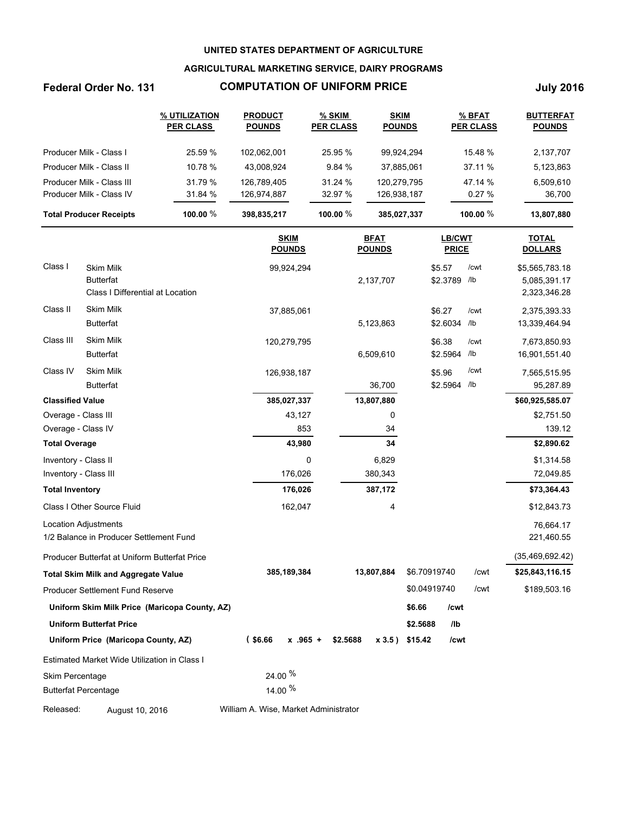### **AGRICULTURAL MARKETING SERVICE, DAIRY PROGRAMS**

# **Federal Order No. 131 COMPUTATION OF UNIFORM PRICE July 2016**

|                                |                                                                          | % UTILIZATION<br><b>PER CLASS</b>             | <b>PRODUCT</b><br><b>POUNDS</b> | % SKIM<br><b>PER CLASS</b> | <b>SKIM</b><br><b>POUNDS</b> |                   |                        | $%$ BFAT<br><b>PER CLASS</b> | <b>BUTTERFAT</b><br><b>POUNDS</b>              |
|--------------------------------|--------------------------------------------------------------------------|-----------------------------------------------|---------------------------------|----------------------------|------------------------------|-------------------|------------------------|------------------------------|------------------------------------------------|
|                                | Producer Milk - Class I                                                  | 25.59 %                                       | 102,062,001                     | 25.95 %                    | 99,924,294                   |                   |                        | 15.48 %                      | 2,137,707                                      |
|                                | Producer Milk - Class II                                                 | 10.78 %                                       | 43,008,924                      | 9.84 %                     | 37,885,061                   |                   |                        | 37.11 %                      | 5,123,863                                      |
|                                | Producer Milk - Class III                                                | 31.79 %                                       | 126,789,405                     | 31.24 %                    | 120,279,795                  |                   |                        | 47.14 %                      | 6,509,610                                      |
|                                | Producer Milk - Class IV                                                 | 31.84 %                                       | 126,974,887                     | 32.97 %                    | 126,938,187                  |                   |                        | 0.27%                        | 36,700                                         |
| <b>Total Producer Receipts</b> |                                                                          | 100.00 %                                      | 398,835,217                     | 100.00 %                   | 385,027,337                  | 100.00 %          |                        | 13,807,880                   |                                                |
|                                |                                                                          |                                               | <b>SKIM</b><br><b>POUNDS</b>    |                            | <b>BFAT</b><br><b>POUNDS</b> |                   | LB/CWT<br><b>PRICE</b> |                              | <b>TOTAL</b><br><b>DOLLARS</b>                 |
| Class I                        | <b>Skim Milk</b><br><b>Butterfat</b><br>Class I Differential at Location |                                               | 99,924,294                      |                            | 2,137,707                    |                   | \$5.57<br>\$2.3789     | /cwt<br>/lb                  | \$5,565,783.18<br>5,085,391.17<br>2,323,346.28 |
| Class II                       | <b>Skim Milk</b><br><b>Butterfat</b>                                     |                                               | 37,885,061                      |                            | 5,123,863                    |                   | \$6.27<br>\$2.6034     | /cwt<br>/lb                  | 2,375,393.33<br>13,339,464.94                  |
| Class III                      | Skim Milk<br><b>Butterfat</b>                                            |                                               | 120,279,795                     |                            | 6,509,610                    |                   | \$6.38<br>\$2.5964     | /cwt<br>/lb                  | 7,673,850.93<br>16,901,551.40                  |
| Class IV                       | <b>Skim Milk</b><br><b>Butterfat</b>                                     |                                               | 126,938,187                     |                            | 36,700                       |                   | \$5.96<br>\$2.5964     | /cwt<br>/lb                  | 7,565,515.95<br>95,287.89                      |
| <b>Classified Value</b>        |                                                                          |                                               | 385,027,337                     |                            | 13,807,880                   |                   |                        |                              | \$60,925,585.07                                |
| Overage - Class III            |                                                                          |                                               | 43,127                          |                            | 0                            |                   |                        |                              | \$2,751.50                                     |
| Overage - Class IV             |                                                                          |                                               | 853                             |                            | 34                           |                   |                        |                              | 139.12                                         |
| <b>Total Overage</b>           |                                                                          |                                               | 43,980                          |                            | 34                           |                   |                        |                              | \$2,890.62                                     |
| Inventory - Class II           |                                                                          |                                               |                                 | 0                          | 6,829                        |                   |                        |                              | \$1,314.58                                     |
| Inventory - Class III          |                                                                          |                                               | 176,026                         |                            | 380,343                      |                   |                        |                              | 72,049.85                                      |
| <b>Total Inventory</b>         |                                                                          |                                               | 176,026                         |                            | 387,172                      |                   |                        |                              | \$73,364.43                                    |
|                                | Class I Other Source Fluid                                               |                                               | 162,047                         |                            | 4                            |                   |                        |                              | \$12,843.73                                    |
|                                | <b>Location Adjustments</b><br>1/2 Balance in Producer Settlement Fund   |                                               |                                 |                            |                              |                   |                        |                              | 76,664.17<br>221,460.55                        |
|                                | Producer Butterfat at Uniform Butterfat Price                            |                                               |                                 |                            |                              |                   |                        |                              | (35, 469, 692, 42)                             |
|                                | <b>Total Skim Milk and Aggregate Value</b>                               |                                               | 385,189,384                     |                            | 13,807,884                   | \$6.70919740      |                        | /cwt                         | \$25,843,116.15                                |
|                                | <b>Producer Settlement Fund Reserve</b>                                  |                                               |                                 |                            |                              | \$0.04919740      |                        | /cwt                         | \$189,503.16                                   |
|                                |                                                                          | Uniform Skim Milk Price (Maricopa County, AZ) |                                 |                            |                              | \$6.66            | /cwt                   |                              |                                                |
|                                | <b>Uniform Butterfat Price</b>                                           |                                               |                                 |                            |                              | \$2.5688          | /lb                    |                              |                                                |
|                                | Uniform Price (Maricopa County, AZ)                                      |                                               | $($ \$6.66<br>$x$ .965 +        | \$2.5688                   |                              | $x 3.5$ ) \$15.42 | /cwt                   |                              |                                                |

Estimated Market Wide Utilization in Class I Skim Percentage

Butterfat Percentage

Released: August 10, 2016 William A. Wise, Market Administrator

24.00  $%$ 14.00  $%$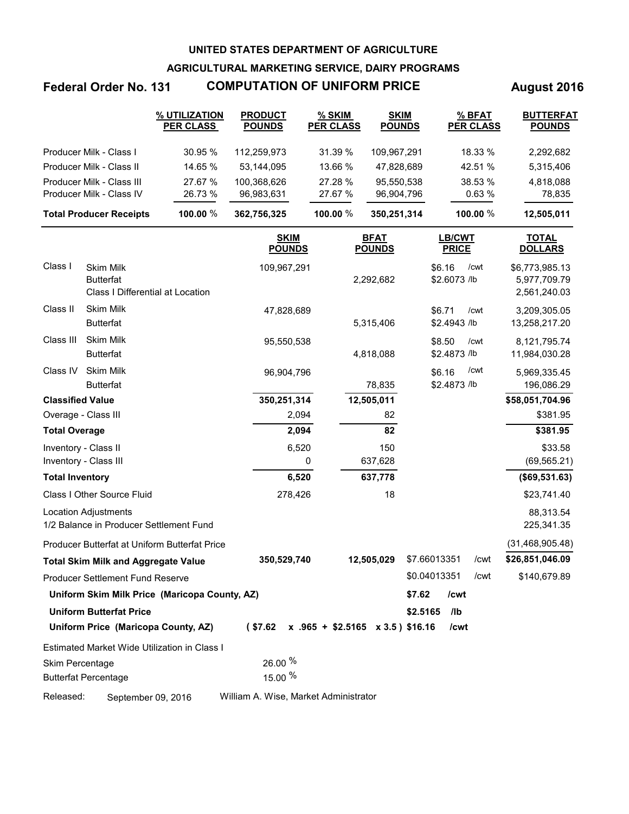**AGRICULTURAL MARKETING SERVICE, DAIRY PROGRAMS**

# Federal Order No. 131 **COMPUTATION OF UNIFORM PRICE** August 2016

|                                                       | % UTILIZATION<br><b>PER CLASS</b> | <b>PRODUCT</b><br><b>POUNDS</b> | $%$ SKIM<br><b>PER CLASS</b> | <b>SKIM</b><br><b>POUNDS</b> | % BFAT<br><b>PER CLASS</b> | <b>BUTTERFAT</b><br><b>POUNDS</b> |
|-------------------------------------------------------|-----------------------------------|---------------------------------|------------------------------|------------------------------|----------------------------|-----------------------------------|
| Producer Milk - Class I                               | 30.95%                            | 112.259.973                     | 31.39 %                      | 109.967.291                  | 18.33 %                    | 2,292,682                         |
| Producer Milk - Class II                              | 14.65 %                           | 53.144.095                      | 13.66 %                      | 47.828.689                   | 42.51 %                    | 5,315,406                         |
| Producer Milk - Class III<br>Producer Milk - Class IV | 27.67 %<br>26.73 %                | 100.368.626<br>96.983.631       | 27.28 %<br>27.67 %           | 95.550.538<br>96.904.796     | 38.53 %<br>0.63%           | 4,818,088<br>78,835               |
| <b>Total Producer Receipts</b>                        | 100.00 %                          | 362,756,325                     | 100.00 $%$                   | 350,251,314                  | 100.00 $%$                 | 12,505,011                        |

|                         |                                                                   | <b>SKIM</b><br><b>POUNDS</b>          | <b>BFAT</b><br><b>POUNDS</b>         | <b>LB/CWT</b><br><b>PRICE</b>  | <b>TOTAL</b><br><b>DOLLARS</b>                 |
|-------------------------|-------------------------------------------------------------------|---------------------------------------|--------------------------------------|--------------------------------|------------------------------------------------|
| Class I                 | Skim Milk<br><b>Butterfat</b><br>Class I Differential at Location | 109,967,291                           | 2,292,682                            | \$6.16<br>/cwt<br>\$2.6073 /lb | \$6,773,985.13<br>5,977,709.79<br>2,561,240.03 |
| Class II                | Skim Milk<br><b>Butterfat</b>                                     | 47,828,689                            | 5,315,406                            | \$6.71<br>/cwt<br>\$2.4943 /lb | 3,209,305.05<br>13,258,217.20                  |
| Class III               | <b>Skim Milk</b><br><b>Butterfat</b>                              | 95,550,538                            | 4,818,088                            | \$8.50<br>/cwt<br>\$2.4873 /lb | 8,121,795.74<br>11,984,030.28                  |
| Class IV                | <b>Skim Milk</b><br><b>Butterfat</b>                              | 96,904,796                            | 78,835                               | /cwt<br>\$6.16<br>\$2.4873 /lb | 5,969,335.45<br>196,086.29                     |
| <b>Classified Value</b> |                                                                   | 350,251,314                           | 12,505,011                           |                                | \$58,051,704.96                                |
| Overage - Class III     |                                                                   | 2,094                                 | 82                                   |                                | \$381.95                                       |
| <b>Total Overage</b>    |                                                                   | 2,094                                 | 82                                   |                                | \$381.95                                       |
| Inventory - Class II    |                                                                   | 6,520                                 | 150                                  |                                | \$33.58                                        |
| Inventory - Class III   |                                                                   | 0                                     | 637,628                              |                                | (69, 565.21)                                   |
| <b>Total Inventory</b>  |                                                                   | 6,520                                 | 637,778                              |                                | (\$69,531.63)                                  |
|                         | <b>Class I Other Source Fluid</b>                                 | 278,426                               | 18                                   |                                | \$23,741.40                                    |
|                         | Location Adjustments<br>1/2 Balance in Producer Settlement Fund   |                                       |                                      |                                | 88,313.54<br>225,341.35                        |
|                         | Producer Butterfat at Uniform Butterfat Price                     |                                       |                                      |                                | (31, 468, 905.48)                              |
|                         | <b>Total Skim Milk and Aggregate Value</b>                        | 350,529,740                           | 12,505,029                           | \$7.66013351<br>/cwt           | \$26,851,046.09                                |
|                         | <b>Producer Settlement Fund Reserve</b>                           |                                       |                                      | \$0.04013351<br>/cwt           | \$140,679.89                                   |
|                         | Uniform Skim Milk Price (Maricopa County, AZ)                     |                                       |                                      | \$7.62<br>/cwt                 |                                                |
|                         | <b>Uniform Butterfat Price</b>                                    |                                       |                                      | \$2.5165<br>/lb                |                                                |
|                         | Uniform Price (Maricopa County, AZ)                               | (\$7.62                               | $x$ .965 + \$2.5165 $x$ 3.5) \$16.16 | /cwt                           |                                                |
|                         | Estimated Market Wide Utilization in Class I                      |                                       |                                      |                                |                                                |
| Skim Percentage         |                                                                   | 26.00 %                               |                                      |                                |                                                |
|                         | <b>Butterfat Percentage</b>                                       | 15.00 %                               |                                      |                                |                                                |
| Released:               | September 09, 2016                                                | William A. Wise, Market Administrator |                                      |                                |                                                |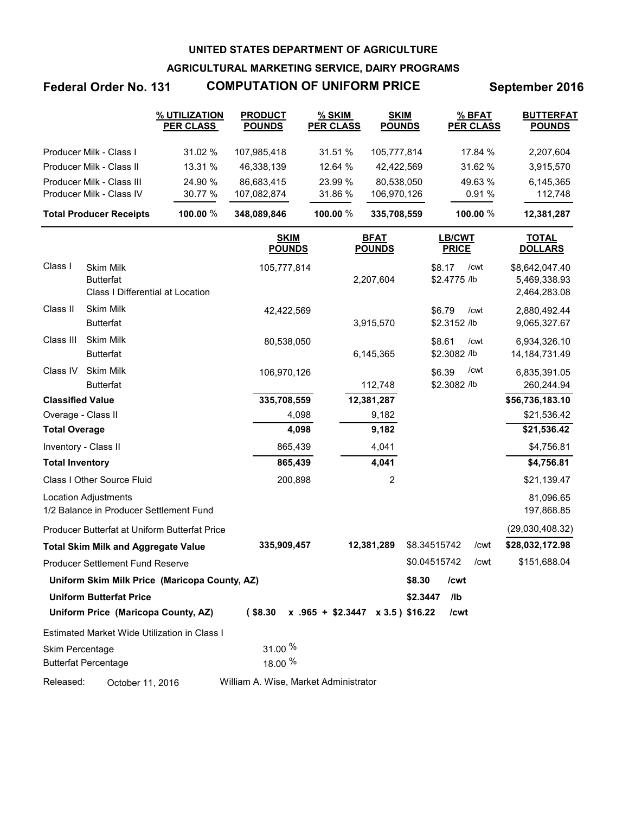**AGRICULTURAL MARKETING SERVICE, DAIRY PROGRAMS**

# **Federal Order No. 131 COMPUTATION OF UNIFORM PRICE September 2016**

|                                                       | % UTILIZATION<br><b>PER CLASS</b> | <b>PRODUCT</b><br><b>POUNDS</b> | % SKIM<br><b>PER CLASS</b> | <b>SKIM</b><br><b>POUNDS</b> | % BFAT<br><b>PER CLASS</b> | <b>BUTTERFAT</b><br><b>POUNDS</b> |
|-------------------------------------------------------|-----------------------------------|---------------------------------|----------------------------|------------------------------|----------------------------|-----------------------------------|
| Producer Milk - Class I                               | 31.02 %                           | 107,985,418                     | 31.51%                     | 105.777.814                  | 17.84 %                    | 2,207,604                         |
| Producer Milk - Class II                              | 13.31%                            | 46.338.139                      | 12.64 %                    | 42.422.569                   | 31.62%                     | 3,915,570                         |
| Producer Milk - Class III<br>Producer Milk - Class IV | 24.90 %<br>30.77 %                | 86.683.415<br>107,082,874       | 23.99 %<br>31.86 %         | 80.538.050<br>106,970,126    | 49.63 %<br>0.91%           | 6,145,365<br>112.748              |
| <b>Total Producer Receipts</b>                        | 100.00 $%$                        | 348,089,846                     | 100.00 $%$                 | 335,708,559                  | 100.00 $%$                 | 12,381,287                        |

|                         |                                                                          | <b>SKIM</b><br><b>POUNDS</b>          | <b>BFAT</b><br><b>POUNDS</b>         | LB/CWT<br><b>PRICE</b>         | <b>TOTAL</b><br><b>DOLLARS</b>                 |
|-------------------------|--------------------------------------------------------------------------|---------------------------------------|--------------------------------------|--------------------------------|------------------------------------------------|
| Class I                 | <b>Skim Milk</b><br><b>Butterfat</b><br>Class I Differential at Location | 105,777,814                           | 2,207,604                            | \$8.17<br>/cwt<br>\$2.4775 /lb | \$8,642,047.40<br>5,469,338.93<br>2,464,283.08 |
| Class II                | <b>Skim Milk</b><br><b>Butterfat</b>                                     | 42,422,569                            | 3,915,570                            | \$6.79<br>/cwt<br>\$2.3152 /lb | 2,880,492.44<br>9,065,327.67                   |
| Class III               | Skim Milk<br><b>Butterfat</b>                                            | 80,538,050                            | 6,145,365                            | \$8.61<br>/cwt<br>\$2.3082 /lb | 6,934,326.10<br>14, 184, 731. 49               |
| Class IV                | <b>Skim Milk</b><br><b>Butterfat</b>                                     | 106,970,126                           | 112,748                              | /cwt<br>\$6.39<br>\$2.3082 /lb | 6,835,391.05<br>260,244.94                     |
| <b>Classified Value</b> |                                                                          | 335,708,559                           | 12,381,287                           |                                | \$56,736,183.10                                |
| Overage - Class II      |                                                                          | 4,098                                 | 9,182                                |                                | \$21,536.42                                    |
| <b>Total Overage</b>    |                                                                          | 4,098                                 | 9,182                                |                                | \$21,536.42                                    |
| Inventory - Class II    |                                                                          | 865,439                               | 4,041                                |                                | \$4,756.81                                     |
| <b>Total Inventory</b>  |                                                                          | 865,439                               | 4,041                                |                                | \$4,756.81                                     |
|                         | Class I Other Source Fluid                                               | 200,898                               | $\overline{2}$                       |                                | \$21,139.47                                    |
|                         | <b>Location Adjustments</b><br>1/2 Balance in Producer Settlement Fund   |                                       |                                      |                                | 81,096.65<br>197,868.85                        |
|                         | Producer Butterfat at Uniform Butterfat Price                            |                                       |                                      |                                | (29,030,408.32)                                |
|                         | <b>Total Skim Milk and Aggregate Value</b>                               | 335,909,457                           | 12,381,289                           | \$8.34515742<br>/cwt           | \$28,032,172.98                                |
|                         | Producer Settlement Fund Reserve                                         |                                       |                                      | \$0.04515742<br>/cwt           | \$151,688.04                                   |
|                         | Uniform Skim Milk Price (Maricopa County, AZ)                            |                                       |                                      | \$8.30<br>/cwt                 |                                                |
|                         | <b>Uniform Butterfat Price</b>                                           |                                       |                                      | \$2.3447<br>I <sub>1</sub>     |                                                |
|                         | Uniform Price (Maricopa County, AZ)                                      | $($ \$8.30                            | $x$ .965 + \$2.3447 $x$ 3.5) \$16.22 | /cwt                           |                                                |
|                         | Estimated Market Wide Utilization in Class I                             |                                       |                                      |                                |                                                |
| Skim Percentage         |                                                                          | 31.00 %                               |                                      |                                |                                                |
|                         | <b>Butterfat Percentage</b>                                              | 18.00 %                               |                                      |                                |                                                |
| Released:               | October 11, 2016                                                         | William A. Wise, Market Administrator |                                      |                                |                                                |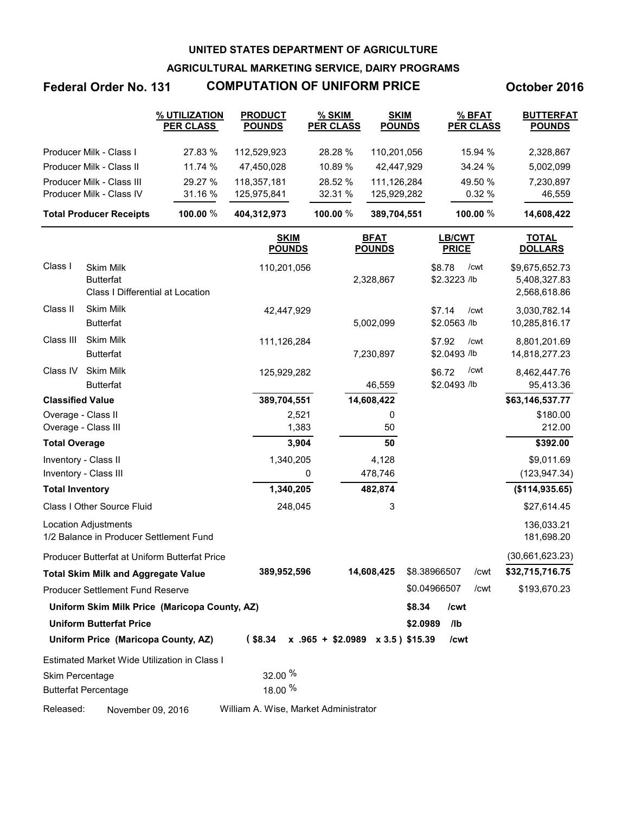**AGRICULTURAL MARKETING SERVICE, DAIRY PROGRAMS**

## **Federal Order No. 131 COMPUTATION OF UNIFORM PRICE October 2016**

|                                | % UTILIZATION<br><b>PER CLASS</b> | <b>PRODUCT</b><br><b>POUNDS</b> | % SKIM<br><b>PER CLASS</b> | <b>SKIM</b><br><b>POUNDS</b> | % BFAT<br><b>PER CLASS</b> | <b>BUTTERFAT</b><br><b>POUNDS</b> |
|--------------------------------|-----------------------------------|---------------------------------|----------------------------|------------------------------|----------------------------|-----------------------------------|
| Producer Milk - Class I        | 27.83 %                           | 112.529.923                     | 28.28 %                    | 110,201,056                  | 15.94 %                    | 2,328,867                         |
| Producer Milk - Class II       | 11.74%                            | 47.450.028                      | 10.89 %                    | 42.447.929                   | 34.24 %                    | 5,002,099                         |
| Producer Milk - Class III      | 29.27 %                           | 118.357.181                     | 28.52 %                    | 111.126.284                  | 49.50 %                    | 7,230,897                         |
| Producer Milk - Class IV       | 31.16 %                           | 125,975,841                     | 32.31 %                    | 125.929.282                  | 0.32%                      | 46,559                            |
| <b>Total Producer Receipts</b> | 100.00 $%$                        | 404,312,973                     | 100.00 $%$                 | 389,704,551                  | 100.00 $%$                 | 14,608,422                        |

|                         |                                                                          | <b>SKIM</b><br><b>POUNDS</b> | <b>BFAT</b><br><b>POUNDS</b>         | <b>LB/CWT</b><br><b>PRICE</b>  | <b>TOTAL</b><br><b>DOLLARS</b>                 |
|-------------------------|--------------------------------------------------------------------------|------------------------------|--------------------------------------|--------------------------------|------------------------------------------------|
| Class I                 | Skim Milk<br><b>Butterfat</b><br><b>Class I Differential at Location</b> | 110,201,056                  | 2,328,867                            | \$8.78<br>/cwt<br>\$2.3223 /lb | \$9,675,652.73<br>5,408,327.83<br>2,568,618.86 |
| Class II                | Skim Milk<br><b>Butterfat</b>                                            | 42,447,929                   | 5,002,099                            | \$7.14<br>/cwt<br>\$2.0563 /lb | 3,030,782.14<br>10,285,816.17                  |
| Class III               | <b>Skim Milk</b><br><b>Butterfat</b>                                     | 111,126,284                  | 7,230,897                            | \$7.92<br>/cwt<br>\$2.0493 /lb | 8,801,201.69<br>14,818,277.23                  |
| Class IV                | <b>Skim Milk</b><br><b>Butterfat</b>                                     | 125,929,282                  | 46,559                               | /cwt<br>\$6.72<br>\$2.0493 /lb | 8,462,447.76<br>95,413.36                      |
| <b>Classified Value</b> |                                                                          | 389,704,551                  | 14,608,422                           |                                | \$63,146,537.77                                |
| Overage - Class II      |                                                                          | 2,521                        | 0                                    |                                | \$180.00                                       |
|                         | Overage - Class III                                                      | 1,383                        | 50                                   |                                | 212.00                                         |
| <b>Total Overage</b>    |                                                                          | 3,904                        | 50                                   |                                | \$392.00                                       |
|                         | Inventory - Class II                                                     | 1,340,205                    | 4,128                                |                                | \$9,011.69                                     |
|                         | Inventory - Class III                                                    | 0                            | 478,746                              |                                | (123, 947.34)                                  |
| <b>Total Inventory</b>  |                                                                          | 1,340,205                    | 482,874                              |                                | (\$114,935.65)                                 |
|                         | Class I Other Source Fluid                                               | 248,045                      | 3                                    |                                | \$27,614.45                                    |
|                         | <b>Location Adjustments</b><br>1/2 Balance in Producer Settlement Fund   |                              |                                      |                                | 136,033.21<br>181,698.20                       |
|                         | Producer Butterfat at Uniform Butterfat Price                            |                              |                                      |                                | (30,661,623.23)                                |
|                         | <b>Total Skim Milk and Aggregate Value</b>                               | 389,952,596                  | 14,608,425                           | \$8.38966507<br>/cwt           | \$32,715,716.75                                |
|                         | <b>Producer Settlement Fund Reserve</b>                                  |                              |                                      | \$0.04966507<br>/cwt           | \$193,670.23                                   |
|                         | Uniform Skim Milk Price (Maricopa County, AZ)                            |                              |                                      | \$8.34<br>/cwt                 |                                                |
|                         | <b>Uniform Butterfat Price</b>                                           |                              |                                      | \$2.0989<br>/lb                |                                                |
|                         | Uniform Price (Maricopa County, AZ)                                      | $($ \$8.34                   | $x$ .965 + \$2.0989 $x$ 3.5) \$15.39 | /cwt                           |                                                |
|                         | Estimated Market Wide Utilization in Class I                             |                              |                                      |                                |                                                |
| Skim Percentage         |                                                                          | 32.00 %                      |                                      |                                |                                                |
|                         | <b>Butterfat Percentage</b>                                              | 18.00 %                      |                                      |                                |                                                |
|                         |                                                                          |                              |                                      |                                |                                                |

Released: November 09, 2016 William A. Wise, Market Administrator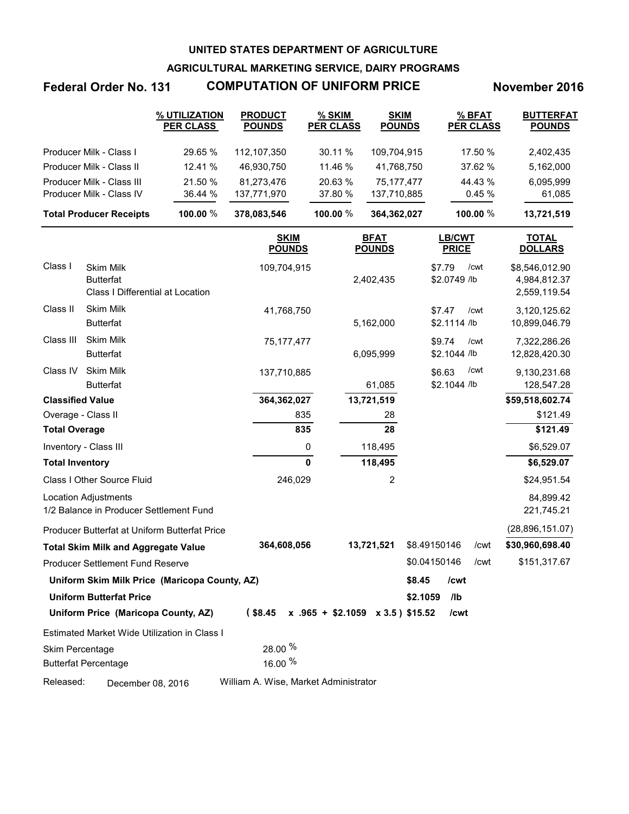**AGRICULTURAL MARKETING SERVICE, DAIRY PROGRAMS**

# **Federal Order No. 131 COMPUTATION OF UNIFORM PRICE November 2016**

|                                | % UTILIZATION<br><b>PER CLASS</b> | <b>PRODUCT</b><br><b>POUNDS</b> | $%$ SKIM<br><b>PER CLASS</b> | <b>SKIM</b><br><b>POUNDS</b> | % BFAT<br><b>PER CLASS</b> | <b>BUTTERFAT</b><br><b>POUNDS</b> |
|--------------------------------|-----------------------------------|---------------------------------|------------------------------|------------------------------|----------------------------|-----------------------------------|
| Producer Milk - Class I        | 29.65 %                           | 112.107.350                     | 30.11%                       | 109.704.915                  | 17.50 %                    | 2,402,435                         |
| Producer Milk - Class II       | 12.41%                            | 46.930.750                      | 11.46 $%$                    | 41.768.750                   | 37.62 %                    | 5,162,000                         |
| Producer Milk - Class III      | 21.50 %                           | 81.273.476                      | 20.63 %                      | 75.177.477                   | 44.43 %                    | 6.095.999                         |
| Producer Milk - Class IV       | 36.44 %                           | 137,771,970                     | 37.80 %                      | 137,710,885                  | 0.45%                      | 61,085                            |
| <b>Total Producer Receipts</b> | 100.00 $%$                        | 378,083,546                     | 100.00 $%$                   | 364,362,027                  | 100.00 $%$                 | 13,721,519                        |

|                         |                                                                          | <b>SKIM</b><br><b>POUNDS</b>          | <b>BFAT</b><br><b>POUNDS</b>         | <b>LB/CWT</b><br><b>PRICE</b>  | <b>TOTAL</b><br><b>DOLLARS</b>                 |
|-------------------------|--------------------------------------------------------------------------|---------------------------------------|--------------------------------------|--------------------------------|------------------------------------------------|
| Class I                 | <b>Skim Milk</b><br><b>Butterfat</b><br>Class I Differential at Location | 109,704,915                           | 2,402,435                            | \$7.79<br>/cwt<br>\$2.0749 /lb | \$8,546,012.90<br>4,984,812.37<br>2,559,119.54 |
| Class II                | <b>Skim Milk</b><br><b>Butterfat</b>                                     | 41,768,750                            | 5,162,000                            | \$7.47<br>/cwt<br>\$2.1114 /lb | 3,120,125.62<br>10,899,046.79                  |
| Class III               | <b>Skim Milk</b><br><b>Butterfat</b>                                     | 75,177,477                            | 6,095,999                            | \$9.74<br>/cwt<br>\$2.1044 /lb | 7,322,286.26<br>12,828,420.30                  |
| Class IV                | <b>Skim Milk</b><br><b>Butterfat</b>                                     | 137,710,885                           | 61,085                               | /cwt<br>\$6.63<br>\$2.1044 /lb | 9,130,231.68<br>128,547.28                     |
| <b>Classified Value</b> |                                                                          | 364,362,027                           | 13,721,519                           |                                | \$59,518,602.74                                |
| Overage - Class II      |                                                                          | 835                                   | 28                                   |                                | \$121.49                                       |
| <b>Total Overage</b>    |                                                                          | 835                                   | 28                                   |                                | \$121.49                                       |
| Inventory - Class III   |                                                                          | 0                                     | 118,495                              |                                | \$6,529.07                                     |
| <b>Total Inventory</b>  |                                                                          | $\bf{0}$                              | 118,495                              |                                | \$6,529.07                                     |
|                         | Class I Other Source Fluid                                               | 246,029                               | $\overline{2}$                       |                                | \$24,951.54                                    |
|                         | <b>Location Adjustments</b><br>1/2 Balance in Producer Settlement Fund   |                                       |                                      |                                | 84,899.42<br>221,745.21                        |
|                         | Producer Butterfat at Uniform Butterfat Price                            |                                       |                                      |                                | (28,896,151.07)                                |
|                         | <b>Total Skim Milk and Aggregate Value</b>                               | 364,608,056                           | 13,721,521                           | \$8.49150146<br>/cwt           | \$30,960,698.40                                |
|                         | <b>Producer Settlement Fund Reserve</b>                                  |                                       |                                      | \$0.04150146<br>/cwt           | \$151,317.67                                   |
|                         | Uniform Skim Milk Price (Maricopa County, AZ)                            |                                       |                                      | \$8.45<br>/cwt                 |                                                |
|                         | <b>Uniform Butterfat Price</b><br>Uniform Price (Maricopa County, AZ)    | $($ \$8.45                            | $x$ .965 + \$2.1059 $x$ 3.5) \$15.52 | \$2.1059<br>/lb<br>/cwt        |                                                |
|                         |                                                                          |                                       |                                      |                                |                                                |
|                         | Estimated Market Wide Utilization in Class I                             |                                       |                                      |                                |                                                |
| Skim Percentage         |                                                                          | 28.00 %                               |                                      |                                |                                                |
|                         | <b>Butterfat Percentage</b>                                              | 16.00 %                               |                                      |                                |                                                |
| Released:               | December 08, 2016                                                        | William A. Wise, Market Administrator |                                      |                                |                                                |